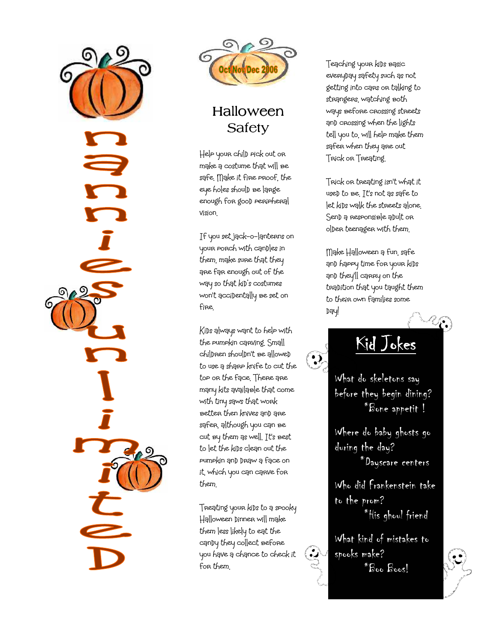



## Halloween **Safety**

Help your child pick out or make a costume that will be safe. Make it fire proof, the eye holes should be large enough for good peripheral vision.

If you set jack-o-lanterns on your porch with candles in them, make sure that they are far enough out of the way so that kid's costumes won't accidentally be set on fire.

Kids always want to help with the pumpkin carving. Small chilDren shoulDn't be alloweD to use a sharp knife to cut the top or the face. There are many kits available that come with tiny saws that work better then knives and are safer, although you can be cut by them as well. It's best to let the kids clean out the pumpkin and draw a face on it, which you can carve for them.

Treating your kids to a spooky Halloween dinner will make them less likely to eat the candy they collect before you have a chance to check it for them.

Teaching your kids basic everyday safety such as not getting into cars or talking to strangers, watching both ways before crossing streets and crossing when the lights tell you to, will help make them safer when they are out Trick or Treating.

Trick or treating isn't what it used to be. It's not as safe to let kids walk the streets alone. Sen) a responsible a pult or olDer teenager with them.

Make Halloween a fun, safe and happy time for your kids and they'll carry on the tradition that you taught them to their own families some Dąy!

Kid Jokes

 $\ddot{\cdot}$ 

 $\mathbf{Q}$ 

What do skeletons say before they begin dining? \*Bone appetit !

Where do baby ghosts go during the day? \*Dayscare centers

Who did Frankenstein take to the prom? \*His ghoul friend

What kind of mistakes to spooks make? \*Boo Boos!

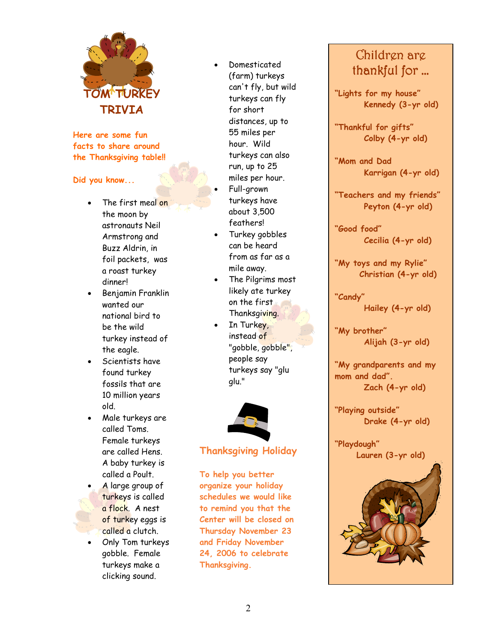

Here are some fun facts to share around the Thanksgiving table!!

Did you know...

- The first meal on the moon by astronauts Neil Armstrong and Buzz Aldrin, in foil packets, was a roast turkey dinner!
- Benjamin Franklin wanted our national bird to be the wild turkey instead of the eagle.
- Scientists have found turkey fossils that are 10 million years old.
- Male turkeys are called Toms. Female turkeys are called Hens. A baby turkey is called a Poult.
- A large group of turkeys is called a flock. A nest of turkey eggs is called a clutch.
- Only Tom turkeys gobble. Female turkeys make a clicking sound.
- Domesticated (farm) turkeys can't fly, but wild turkeys can fly for short distances, up to 55 miles per hour. Wild turkeys can also run, up to 25 miles per hour.
- Full-grown turkeys have about 3,500 feathers!
- Turkey gobbles can be heard from as far as a mile away.
- The Pilgrims most likely ate turkey on the first Thanksgiving.
- In Turkey, instead of "gobble, gobble", people say turkeys say "glu glu."



#### Thanksgiving Holiday

To help you better organize your holiday schedules we would like to remind you that the Center will be closed on Thursday November 23 and Friday November 24, 2006 to celebrate Thanksgiving.

### Children are thankful for …

"Lights for my house" Kennedy (3-yr old)

"Thankful for gifts" Colby (4-yr old)

"Mom and Dad Karrigan (4-yr old)

"Teachers and my friends" Peyton (4-yr old)

"Good food" Cecilia (4-yr old)

"My toys and my Rylie" Christian (4-yr old)

"Candy" Hailey (4-yr old)

"My brother" Alijah (3-yr old)

"My grandparents and my mom and dad". Zach (4-yr old)

"Playing outside" Drake (4-yr old)

"Playdough" Lauren (3-yr old)

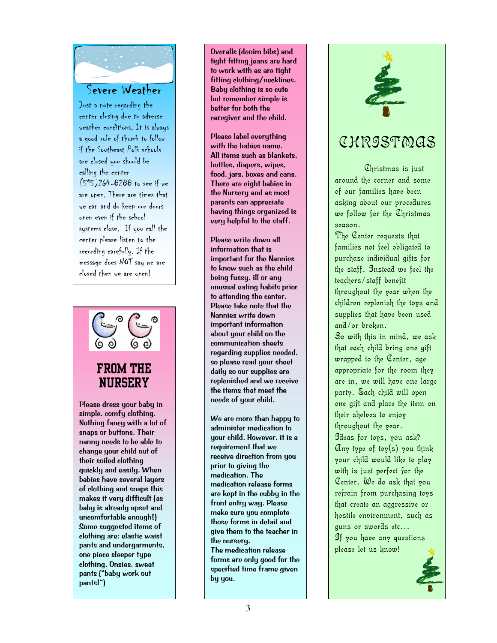

Just a note regarding the center closing due to adverse weather conditions. It is always a good rule of thumb to follow if the Southeast Polk schools are closed you should be calling the center (515)264-8288 to see if we are open. There are times that we can and do keep our doors open even if the school systems close. If you call the center please listen to the recording carefully. If the message does NOT say we are closed then we are open!



Please dress your baby in simple, comfy clothing. Nothing fancy with a lot of snaps or buttons. Their nanny needs to be able to change your child out of their soiled clothing quickly and easily. When babies have several layers of clothing and snaps this makes it very difficult (as baby is already upset and uncomfortable enough!) Some suggested items of clothing are: elastic waist pants and undergarments, one piece sleeper type clothing, Onsies, sweat pants ("baby work out pants!")

Overalls (denim bibs) and tight fitting jeans are hard to work with as are tight fitting clothing/necklines. Baby clothing is so cute but remember simple is better for both the caregiver and the child.

Please label everything with the babies name. All items such as blankets, bottles, diapers, wipes, food, jars, boxes and cans. There are eight babies in the Nursery and as most parents can appreciate having things organized is very helpful to the staff.

Please write down all information that is important for the Nannies to know such as the child being fussy, ill or any unusual eating habits prior to attending the center. Please take note that the Nannies write down important information about your child on the communication sheets regarding supplies needed, so please read your sheet daily so our supplies are replenished and we receive the items that meet the needs of your child.

We are more than happy to administer medication to your child. However, it is a requirement that we receive direction from you prior to giving the medication. The medication release forms are kept in the cubby in the front entry way. Please make sure you complete those forms in detail and give them to the teacher in the nursery.

The medication release forms are only good for the specified time frame given by you.



# CHRISTMAS

Christmas is just around the corner and some of our families have been asking about our procedures we follow for the Christmas season.

The Center requests that families not feel obligated to purchase individual gifts for the staff. Instead we feel the teachers/staff benefit throughout the year when the children replenish the toys and supplies that have been used and/or broken.

So with this in mind, we ask that each child bring one gift wrapped to the Center, age appropriate for the room they are in, we will have one large party. Each child will open one gift and place the item on their shelves to enjoy throughout the year.

Ideas for toys, you ask? Any type of toy(s) you think your child would like to play with is just perfect for the Center. We do ask that you refrain from purchasing toys that create an aggressive or hostile environment, such as guns or swords etc… If you have any questions

please let us know!

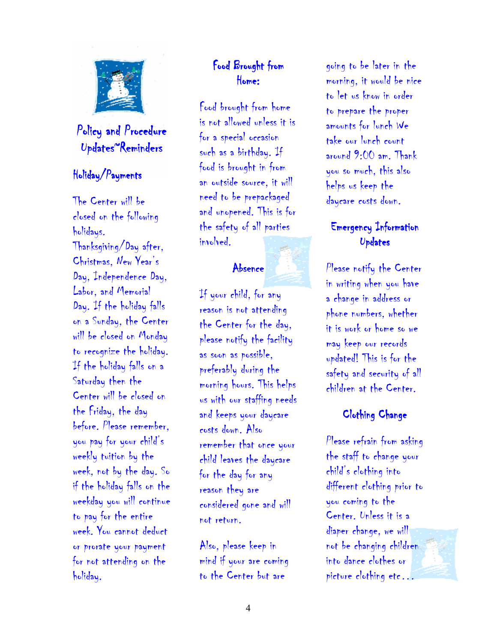

### Policy and Procedure  $Updates^{\sim}Reminders$

#### Holiday/Payments

The Center will be closed on the following holidays. Thanksgiving/Day after, Christmas, New Year's Day, Independence Day, Labor, and Memorial Day. If the holiday falls on a Sunday, the Center will be closed on Monday to recognize the holiday. If the holiday falls on a Saturday then the Center will be closed on the Friday, the day before. Please remember, you pay for your child's weekly tuition by the week, not by the day. So if the holiday falls on the weekday you will continue to pay for the entire week. You cannot deduct or prorate your payment for not attending on the holiday.

### Food Brought from Home:

Food brought from home is not allowed unless it is for a special occasion such as a birthday. If food is brought in from an outside source, it will need to be prepackaged and unopened. This is for the safety of all parties involved.

#### Absence

If your child, for any reason is not attending the Center for the day, please notify the facility as soon as possible, preferably during the morning hours. This helps us with our staffing needs and keeps your daycare costs down. Also remember that once your child leaves the daycare for the day for any reason they are considered gone and will not return.

Also, please keep in mind if your are coming to the Center but are

going to be later in the morning, it would be nice to let us know in order to prepare the proper amounts for lunch We take our lunch count around 9:00 am. Thank you so much, this also helps us keep the daycare costs down.

#### Emergency Information Updates

Please notify the Center in writing when you have a change in address or phone numbers, whether it is work or home so we may keep our records updated! This is for the safety and security of all children at the Center.

#### Clothing Change

Please refrain from asking the staff to change your child's clothing into different clothing prior to you coming to the Center. Unless it is a diaper change, we will not be changing children into dance clothes or picture clothing etc…